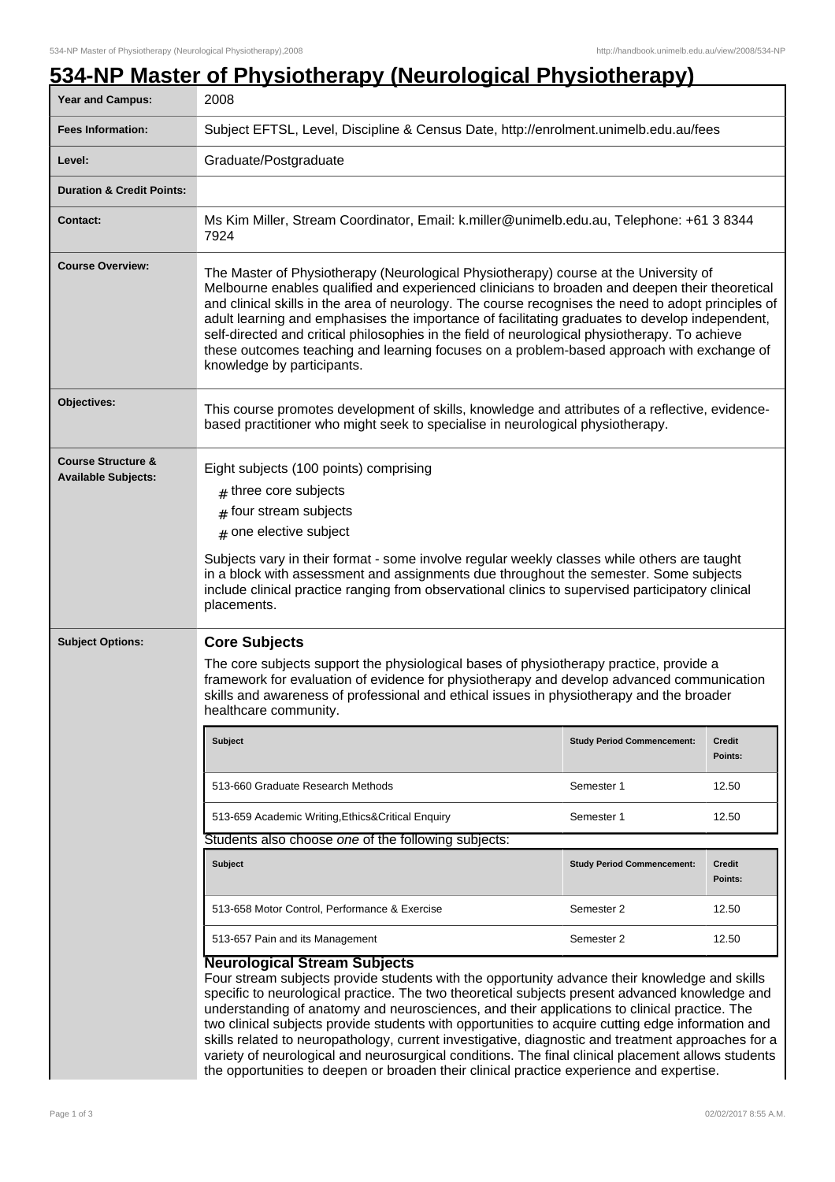## **534-NP Master of Physiotherapy (Neurological Physiotherapy)** Year and Campus: 2008 **Fees Information:** [Subject EFTSL, Level, Discipline & Census Date, http://enrolment.unimelb.edu.au/fees](http://enrolment.unimelb.edu.au/fees) Level: **Graduate/Postgraduate Duration & Credit Points: Contact:** Ms Kim Miller, Stream Coordinator, Email: k.miller@unimelb.edu.au, Telephone: +61 3 8344 7924 **Course Overview:** The Master of Physiotherapy (Neurological Physiotherapy) course at the University of Melbourne enables qualified and experienced clinicians to broaden and deepen their theoretical and clinical skills in the area of neurology. The course recognises the need to adopt principles of adult learning and emphasises the importance of facilitating graduates to develop independent, self-directed and critical philosophies in the field of neurological physiotherapy. To achieve these outcomes teaching and learning focuses on a problem-based approach with exchange of knowledge by participants. **Objectives:** This course promotes development of skills, knowledge and attributes of a reflective, evidencebased practitioner who might seek to specialise in neurological physiotherapy. **Course Structure & Available Subjects:** Eight subjects (100 points) comprising  ${}_{\#}$  three core subjects  ${}_{\#}$  four stream subjects  $\#$  one elective subject Subjects vary in their format - some involve regular weekly classes while others are taught in a block with assessment and assignments due throughout the semester. Some subjects include clinical practice ranging from observational clinics to supervised participatory clinical placements. **Subject Options: Core Subjects** The core subjects support the physiological bases of physiotherapy practice, provide a framework for evaluation of evidence for physiotherapy and develop advanced communication skills and awareness of professional and ethical issues in physiotherapy and the broader healthcare community. **Subject Study Period Commencement: Credit Points:** 513-660 Graduate Research Methods Semester 1 12.50 513-659 Academic Writing,Ethics&Critical Enquiry Semester 1 12.50 Students also choose one of the following subjects: **Subject Study Period Commencement: Credit Points:** 513-658 Motor Control, Performance & Exercise Semester 2 12.50 513-657 Pain and its Management Semester 2 12.50 **Neurological Stream Subjects** Four stream subjects provide students with the opportunity advance their knowledge and skills specific to neurological practice. The two theoretical subjects present advanced knowledge and understanding of anatomy and neurosciences, and their applications to clinical practice. The

two clinical subjects provide students with opportunities to acquire cutting edge information and skills related to neuropathology, current investigative, diagnostic and treatment approaches for a variety of neurological and neurosurgical conditions. The final clinical placement allows students the opportunities to deepen or broaden their clinical practice experience and expertise.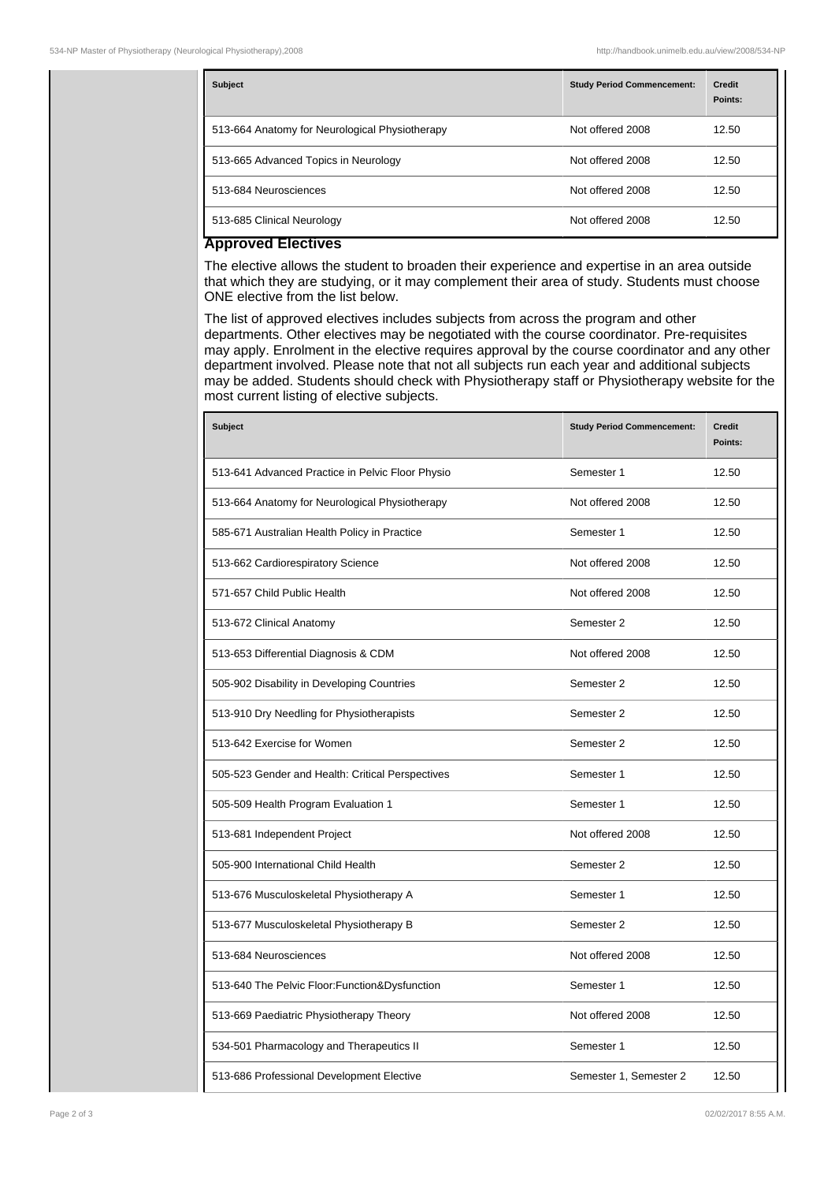| <b>Subject</b>                                 | <b>Study Period Commencement:</b> | <b>Credit</b><br>Points: |
|------------------------------------------------|-----------------------------------|--------------------------|
| 513-664 Anatomy for Neurological Physiotherapy | Not offered 2008                  | 12.50                    |
| 513-665 Advanced Topics in Neurology           | Not offered 2008                  | 12.50                    |
| 513-684 Neurosciences                          | Not offered 2008                  | 12.50                    |
| 513-685 Clinical Neurology                     | Not offered 2008                  | 12.50                    |

## **Approved Electives**

The elective allows the student to broaden their experience and expertise in an area outside that which they are studying, or it may complement their area of study. Students must choose ONE elective from the list below.

The list of approved electives includes subjects from across the program and other departments. Other electives may be negotiated with the course coordinator. Pre-requisites may apply. Enrolment in the elective requires approval by the course coordinator and any other department involved. Please note that not all subjects run each year and additional subjects may be added. Students should check with Physiotherapy staff or Physiotherapy website for the most current listing of elective subjects.

| <b>Subject</b>                                   | <b>Study Period Commencement:</b> | <b>Credit</b><br>Points: |
|--------------------------------------------------|-----------------------------------|--------------------------|
| 513-641 Advanced Practice in Pelvic Floor Physio | Semester 1                        | 12.50                    |
| 513-664 Anatomy for Neurological Physiotherapy   | Not offered 2008                  | 12.50                    |
| 585-671 Australian Health Policy in Practice     | Semester 1                        | 12.50                    |
| 513-662 Cardiorespiratory Science                | Not offered 2008                  | 12.50                    |
| 571-657 Child Public Health                      | Not offered 2008                  | 12.50                    |
| 513-672 Clinical Anatomy                         | Semester 2                        | 12.50                    |
| 513-653 Differential Diagnosis & CDM             | Not offered 2008                  | 12.50                    |
| 505-902 Disability in Developing Countries       | Semester 2                        | 12.50                    |
| 513-910 Dry Needling for Physiotherapists        | Semester 2                        | 12.50                    |
| 513-642 Exercise for Women                       | Semester 2                        | 12.50                    |
| 505-523 Gender and Health: Critical Perspectives | Semester 1                        | 12.50                    |
| 505-509 Health Program Evaluation 1              | Semester 1                        | 12.50                    |
| 513-681 Independent Project                      | Not offered 2008                  | 12.50                    |
| 505-900 International Child Health               | Semester 2                        | 12.50                    |
| 513-676 Musculoskeletal Physiotherapy A          | Semester 1                        | 12.50                    |
| 513-677 Musculoskeletal Physiotherapy B          | Semester 2                        | 12.50                    |
| 513-684 Neurosciences                            | Not offered 2008                  | 12.50                    |
| 513-640 The Pelvic Floor: Function& Dysfunction  | Semester 1                        | 12.50                    |
| 513-669 Paediatric Physiotherapy Theory          | Not offered 2008                  | 12.50                    |
| 534-501 Pharmacology and Therapeutics II         | Semester 1                        | 12.50                    |
| 513-686 Professional Development Elective        | Semester 1, Semester 2            | 12.50                    |